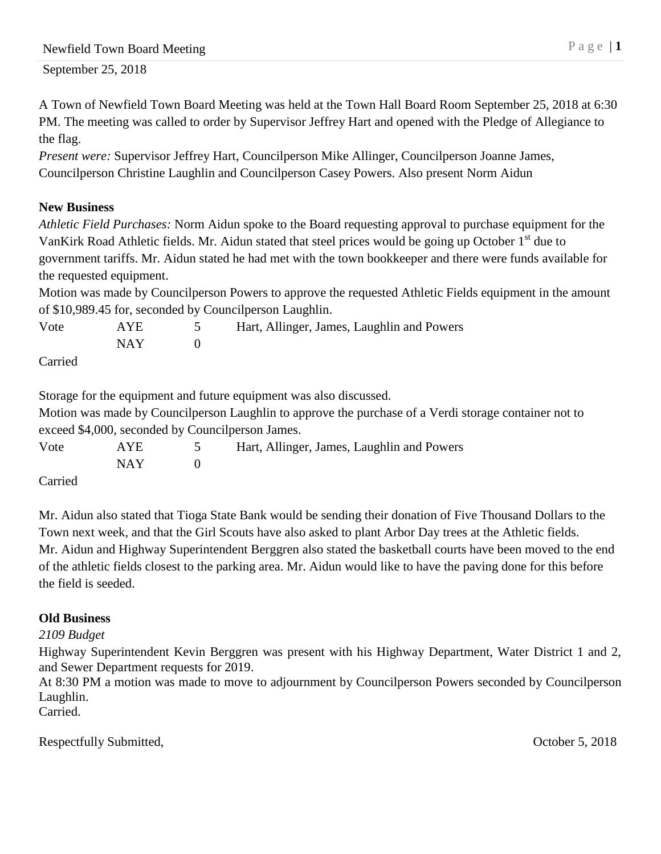September 25, 2018

A Town of Newfield Town Board Meeting was held at the Town Hall Board Room September 25, 2018 at 6:30 PM. The meeting was called to order by Supervisor Jeffrey Hart and opened with the Pledge of Allegiance to the flag.

*Present were:* Supervisor Jeffrey Hart, Councilperson Mike Allinger, Councilperson Joanne James, Councilperson Christine Laughlin and Councilperson Casey Powers. Also present Norm Aidun

## **New Business**

*Athletic Field Purchases:* Norm Aidun spoke to the Board requesting approval to purchase equipment for the VanKirk Road Athletic fields. Mr. Aidun stated that steel prices would be going up October  $1<sup>st</sup>$  due to government tariffs. Mr. Aidun stated he had met with the town bookkeeper and there were funds available for the requested equipment.

Motion was made by Councilperson Powers to approve the requested Athletic Fields equipment in the amount of \$10,989.45 for, seconded by Councilperson Laughlin.

| Vote                     | <b>AYE</b> | Hart, Allinger, James, Laughlin and Powers |
|--------------------------|------------|--------------------------------------------|
|                          | NAY 1      |                                            |
| C <sub>correlation</sub> |            |                                            |

Carried

Storage for the equipment and future equipment was also discussed. Motion was made by Councilperson Laughlin to approve the purchase of a Verdi storage container not to exceed \$4,000, seconded by Councilperson James. Vote AYE 5 Hart, Allinger, James, Laughlin and Powers NAY 0

Carried

Mr. Aidun also stated that Tioga State Bank would be sending their donation of Five Thousand Dollars to the Town next week, and that the Girl Scouts have also asked to plant Arbor Day trees at the Athletic fields. Mr. Aidun and Highway Superintendent Berggren also stated the basketball courts have been moved to the end of the athletic fields closest to the parking area. Mr. Aidun would like to have the paving done for this before the field is seeded.

## **Old Business**

## *2109 Budget*

Highway Superintendent Kevin Berggren was present with his Highway Department, Water District 1 and 2, and Sewer Department requests for 2019.

At 8:30 PM a motion was made to move to adjournment by Councilperson Powers seconded by Councilperson Laughlin.

Carried.

Respectfully Submitted,  $\qquad \qquad$  October 5, 2018